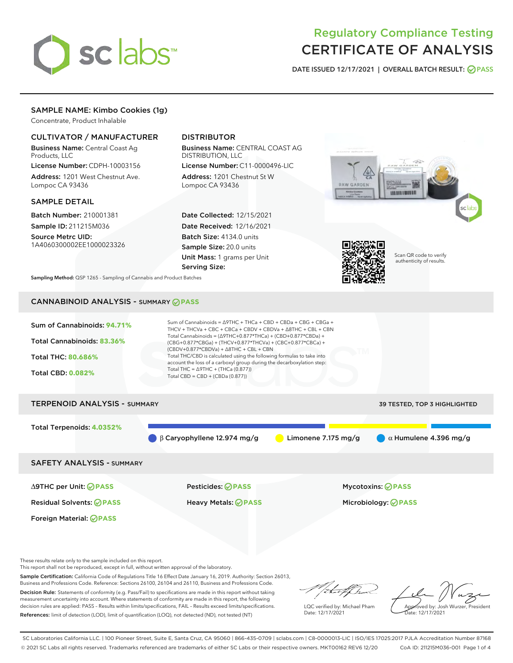

# Regulatory Compliance Testing CERTIFICATE OF ANALYSIS

DATE ISSUED 12/17/2021 | OVERALL BATCH RESULT: @ PASS

# SAMPLE NAME: Kimbo Cookies (1g)

Concentrate, Product Inhalable

# CULTIVATOR / MANUFACTURER

Business Name: Central Coast Ag Products, LLC

License Number: CDPH-10003156 Address: 1201 West Chestnut Ave. Lompoc CA 93436

#### SAMPLE DETAIL

Batch Number: 210001381 Sample ID: 211215M036

Source Metrc UID: 1A4060300002EE1000023326

# DISTRIBUTOR

Business Name: CENTRAL COAST AG DISTRIBUTION, LLC

License Number: C11-0000496-LIC Address: 1201 Chestnut St W Lompoc CA 93436

Date Collected: 12/15/2021 Date Received: 12/16/2021 Batch Size: 4134.0 units Sample Size: 20.0 units Unit Mass: 1 grams per Unit Serving Size:





Scan QR code to verify authenticity of results.

Sampling Method: QSP 1265 - Sampling of Cannabis and Product Batches

# CANNABINOID ANALYSIS - SUMMARY **PASS**



These results relate only to the sample included on this report.

Foreign Material: **PASS**

This report shall not be reproduced, except in full, without written approval of the laboratory.

Sample Certification: California Code of Regulations Title 16 Effect Date January 16, 2019. Authority: Section 26013, Business and Professions Code. Reference: Sections 26100, 26104 and 26110, Business and Professions Code. Decision Rule: Statements of conformity (e.g. Pass/Fail) to specifications are made in this report without taking

measurement uncertainty into account. Where statements of conformity are made in this report, the following decision rules are applied: PASS – Results within limits/specifications, FAIL – Results exceed limits/specifications. References: limit of detection (LOD), limit of quantification (LOQ), not detected (ND), not tested (NT)

that for

LQC verified by: Michael Pham Date: 12/17/2021

Approved by: Josh Wurzer, President ate: 12/17/2021

SC Laboratories California LLC. | 100 Pioneer Street, Suite E, Santa Cruz, CA 95060 | 866-435-0709 | sclabs.com | C8-0000013-LIC | ISO/IES 17025:2017 PJLA Accreditation Number 87168 © 2021 SC Labs all rights reserved. Trademarks referenced are trademarks of either SC Labs or their respective owners. MKT00162 REV6 12/20 CoA ID: 211215M036-001 Page 1 of 4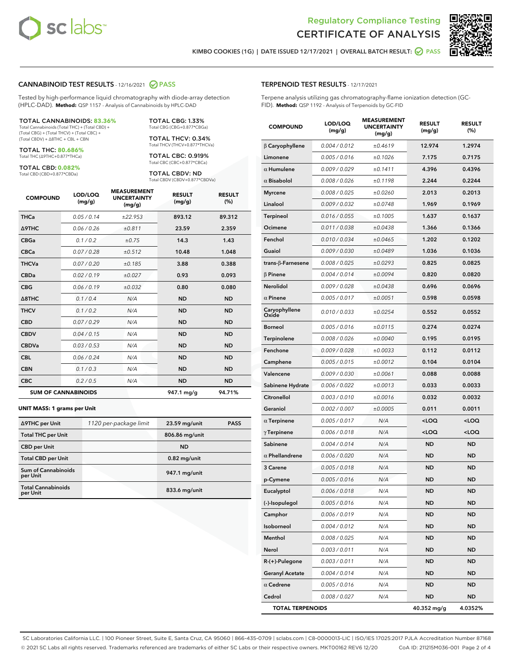



KIMBO COOKIES (1G) | DATE ISSUED 12/17/2021 | OVERALL BATCH RESULT: **● PASS** 

#### CANNABINOID TEST RESULTS - 12/16/2021 2 PASS

Tested by high-performance liquid chromatography with diode-array detection (HPLC-DAD). **Method:** QSP 1157 - Analysis of Cannabinoids by HPLC-DAD

#### TOTAL CANNABINOIDS: **83.36%**

Total Cannabinoids (Total THC) + (Total CBD) + (Total CBG) + (Total THCV) + (Total CBC) + (Total CBDV) + ∆8THC + CBL + CBN

TOTAL THC: **80.686%** Total THC (∆9THC+0.877\*THCa)

TOTAL CBD: **0.082%**

Total CBD (CBD+0.877\*CBDa)

TOTAL CBG: 1.33% Total CBG (CBG+0.877\*CBGa)

TOTAL THCV: 0.34% Total THCV (THCV+0.877\*THCVa)

TOTAL CBC: 0.919% Total CBC (CBC+0.877\*CBCa)

TOTAL CBDV: ND Total CBDV (CBDV+0.877\*CBDVa)

| <b>COMPOUND</b>  | LOD/LOQ<br>(mg/g)          | <b>MEASUREMENT</b><br><b>UNCERTAINTY</b><br>(mg/g) | <b>RESULT</b><br>(mg/g) | <b>RESULT</b><br>(%) |
|------------------|----------------------------|----------------------------------------------------|-------------------------|----------------------|
| <b>THCa</b>      | 0.05/0.14                  | ±22.953                                            | 893.12                  | 89.312               |
| <b>A9THC</b>     | 0.06 / 0.26                | ±0.811                                             | 23.59                   | 2.359                |
| <b>CBGa</b>      | 0.1 / 0.2                  | ±0.75                                              | 14.3                    | 1.43                 |
| <b>CBCa</b>      | 0.07 / 0.28                | ±0.512                                             | 10.48                   | 1.048                |
| <b>THCVa</b>     | 0.07 / 0.20                | ±0.185                                             | 3.88                    | 0.388                |
| <b>CBDa</b>      | 0.02/0.19                  | ±0.027                                             | 0.93                    | 0.093                |
| <b>CBG</b>       | 0.06/0.19                  | ±0.032                                             | 0.80                    | 0.080                |
| $\triangle$ 8THC | 0.1 / 0.4                  | N/A                                                | <b>ND</b>               | <b>ND</b>            |
| <b>THCV</b>      | 0.1/0.2                    | N/A                                                | <b>ND</b>               | <b>ND</b>            |
| <b>CBD</b>       | 0.07/0.29                  | N/A                                                | <b>ND</b>               | <b>ND</b>            |
| <b>CBDV</b>      | 0.04 / 0.15                | N/A                                                | <b>ND</b>               | <b>ND</b>            |
| <b>CBDVa</b>     | 0.03/0.53                  | N/A                                                | <b>ND</b>               | <b>ND</b>            |
| <b>CBL</b>       | 0.06 / 0.24                | N/A                                                | <b>ND</b>               | <b>ND</b>            |
| <b>CBN</b>       | 0.1/0.3                    | N/A                                                | <b>ND</b>               | <b>ND</b>            |
| <b>CBC</b>       | 0.2 / 0.5                  | N/A                                                | <b>ND</b>               | <b>ND</b>            |
|                  | <b>SUM OF CANNABINOIDS</b> |                                                    | 947.1 mg/g              | 94.71%               |

#### **UNIT MASS: 1 grams per Unit**

| ∆9THC per Unit                        | 1120 per-package limit | 23.59 mg/unit   | <b>PASS</b> |
|---------------------------------------|------------------------|-----------------|-------------|
| <b>Total THC per Unit</b>             |                        | 806.86 mg/unit  |             |
| <b>CBD per Unit</b>                   |                        | <b>ND</b>       |             |
| <b>Total CBD per Unit</b>             |                        | $0.82$ mg/unit  |             |
| Sum of Cannabinoids<br>per Unit       |                        | 947.1 mg/unit   |             |
| <b>Total Cannabinoids</b><br>per Unit |                        | $833.6$ mg/unit |             |

| <b>COMPOUND</b>           | LOD/LOQ<br>(mg/g) | <b>MEASUREMENT</b><br><b>UNCERTAINTY</b><br>(mg/g) | <b>RESULT</b><br>(mg/g)                         | <b>RESULT</b><br>(%) |
|---------------------------|-------------------|----------------------------------------------------|-------------------------------------------------|----------------------|
| $\beta$ Caryophyllene     | 0.004 / 0.012     | ±0.4619                                            | 12.974                                          | 1.2974               |
| Limonene                  | 0.005 / 0.016     | ±0.1026                                            | 7.175                                           | 0.7175               |
| $\alpha$ Humulene         | 0.009/0.029       | ±0.1411                                            | 4.396                                           | 0.4396               |
| $\alpha$ Bisabolol        | 0.008 / 0.026     | ±0.1198                                            | 2.244                                           | 0.2244               |
| <b>Myrcene</b>            | 0.008 / 0.025     | ±0.0260                                            | 2.013                                           | 0.2013               |
| Linalool                  | 0.009/0.032       | ±0.0748                                            | 1.969                                           | 0.1969               |
| <b>Terpineol</b>          | 0.016 / 0.055     | ±0.1005                                            | 1.637                                           | 0.1637               |
| Ocimene                   | 0.011 / 0.038     | ±0.0438                                            | 1.366                                           | 0.1366               |
| Fenchol                   | 0.010 / 0.034     | ±0.0465                                            | 1.202                                           | 0.1202               |
| Guaiol                    | 0.009 / 0.030     | ±0.0489                                            | 1.036                                           | 0.1036               |
| trans- $\beta$ -Farnesene | 0.008 / 0.025     | ±0.0293                                            | 0.825                                           | 0.0825               |
| $\beta$ Pinene            | 0.004 / 0.014     | ±0.0094                                            | 0.820                                           | 0.0820               |
| Nerolidol                 | 0.009 / 0.028     | ±0.0438                                            | 0.696                                           | 0.0696               |
| $\alpha$ Pinene           | 0.005 / 0.017     | ±0.0051                                            | 0.598                                           | 0.0598               |
| Caryophyllene<br>Oxide    | 0.010 / 0.033     | ±0.0254                                            | 0.552                                           | 0.0552               |
| Borneol                   | 0.005 / 0.016     | ±0.0115                                            | 0.274                                           | 0.0274               |
| Terpinolene               | 0.008 / 0.026     | ±0.0040                                            | 0.195                                           | 0.0195               |
| Fenchone                  | 0.009 / 0.028     | ±0.0033                                            | 0.112                                           | 0.0112               |
| Camphene                  | 0.005 / 0.015     | ±0.0012                                            | 0.104                                           | 0.0104               |
| Valencene                 | 0.009 / 0.030     | ±0.0061                                            | 0.088                                           | 0.0088               |
| Sabinene Hydrate          | 0.006 / 0.022     | ±0.0013                                            | 0.033                                           | 0.0033               |
| Citronellol               | 0.003 / 0.010     | ±0.0016                                            | 0.032                                           | 0.0032               |
| Geraniol                  | 0.002 / 0.007     | ±0.0005                                            | 0.011                                           | 0.0011               |
| $\alpha$ Terpinene        | 0.005 / 0.017     | N/A                                                | <loq< th=""><th><loq< th=""></loq<></th></loq<> | <loq< th=""></loq<>  |
| $\gamma$ Terpinene        | 0.006 / 0.018     | N/A                                                | <loq< th=""><th><loq< th=""></loq<></th></loq<> | <loq< th=""></loq<>  |
| Sabinene                  | 0.004 / 0.014     | N/A                                                | ND                                              | <b>ND</b>            |
| $\alpha$ Phellandrene     | 0.006 / 0.020     | N/A                                                | ND                                              | <b>ND</b>            |
| 3 Carene                  | 0.005 / 0.018     | N/A                                                | <b>ND</b>                                       | <b>ND</b>            |
| p-Cymene                  | 0.005 / 0.016     | N/A                                                | ND                                              | <b>ND</b>            |
| Eucalyptol                | 0.006 / 0.018     | N/A                                                | ND                                              | <b>ND</b>            |
| (-)-Isopulegol            | 0.005 / 0.016     | N/A                                                | ND                                              | ND                   |
| Camphor                   | 0.006 / 0.019     | N/A                                                | ND                                              | ND                   |
| Isoborneol                | 0.004 / 0.012     | N/A                                                | ND                                              | ND                   |
| Menthol                   | 0.008 / 0.025     | N/A                                                | ND                                              | <b>ND</b>            |
| Nerol                     | 0.003 / 0.011     | N/A                                                | ND                                              | ND                   |
| R-(+)-Pulegone            | 0.003 / 0.011     | N/A                                                | ND                                              | ND                   |
| <b>Geranyl Acetate</b>    | 0.004 / 0.014     | N/A                                                | ND                                              | ND                   |
| $\alpha$ Cedrene          | 0.005 / 0.016     | N/A                                                | ND                                              | ND                   |
| Cedrol                    | 0.008 / 0.027     | N/A                                                | ND                                              | ND                   |
| <b>TOTAL TERPENOIDS</b>   |                   |                                                    | 40.352 mg/g                                     | 4.0352%              |

SC Laboratories California LLC. | 100 Pioneer Street, Suite E, Santa Cruz, CA 95060 | 866-435-0709 | sclabs.com | C8-0000013-LIC | ISO/IES 17025:2017 PJLA Accreditation Number 87168 © 2021 SC Labs all rights reserved. Trademarks referenced are trademarks of either SC Labs or their respective owners. MKT00162 REV6 12/20 CoA ID: 211215M036-001 Page 2 of 4

# TERPENOID TEST RESULTS - 12/17/2021

Terpene analysis utilizing gas chromatography-flame ionization detection (GC-FID). **Method:** QSP 1192 - Analysis of Terpenoids by GC-FID

MEASUREMENT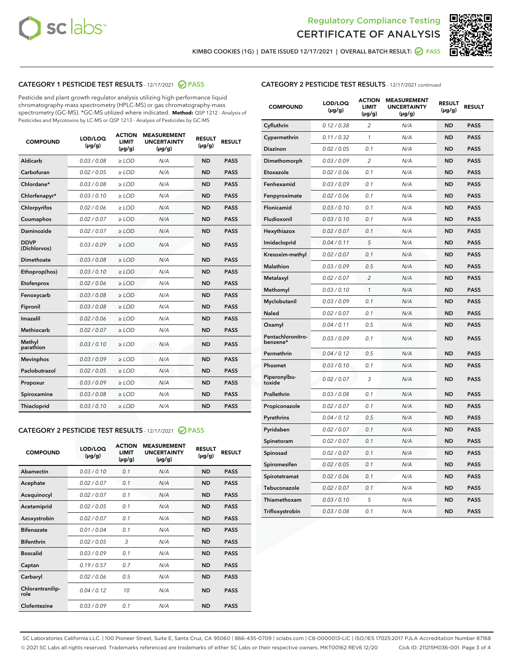



KIMBO COOKIES (1G) | DATE ISSUED 12/17/2021 | OVERALL BATCH RESULT:  $\bigcirc$  PASS

# CATEGORY 1 PESTICIDE TEST RESULTS - 12/17/2021 2 PASS

Pesticide and plant growth regulator analysis utilizing high-performance liquid chromatography-mass spectrometry (HPLC-MS) or gas chromatography-mass spectrometry (GC-MS). \*GC-MS utilized where indicated. **Method:** QSP 1212 - Analysis of Pesticides and Mycotoxins by LC-MS or QSP 1213 - Analysis of Pesticides by GC-MS

| <b>COMPOUND</b>             | LOD/LOQ<br>$(\mu g/g)$ | <b>ACTION</b><br><b>LIMIT</b><br>$(\mu g/g)$ | <b>MEASUREMENT</b><br><b>UNCERTAINTY</b><br>$(\mu g/g)$ | <b>RESULT</b><br>$(\mu g/g)$ | <b>RESULT</b> |
|-----------------------------|------------------------|----------------------------------------------|---------------------------------------------------------|------------------------------|---------------|
| Aldicarb                    | 0.03 / 0.08            | $\geq$ LOD                                   | N/A                                                     | <b>ND</b>                    | <b>PASS</b>   |
| Carbofuran                  | 0.02/0.05              | $>$ LOD                                      | N/A                                                     | <b>ND</b>                    | <b>PASS</b>   |
| Chlordane*                  | 0.03 / 0.08            | $\ge$ LOD                                    | N/A                                                     | <b>ND</b>                    | <b>PASS</b>   |
| Chlorfenapyr*               | 0.03/0.10              | $>$ LOD                                      | N/A                                                     | <b>ND</b>                    | <b>PASS</b>   |
| Chlorpyrifos                | 0.02 / 0.06            | $\ge$ LOD                                    | N/A                                                     | <b>ND</b>                    | <b>PASS</b>   |
| Coumaphos                   | 0.02 / 0.07            | $\ge$ LOD                                    | N/A                                                     | <b>ND</b>                    | <b>PASS</b>   |
| Daminozide                  | 0.02 / 0.07            | $\ge$ LOD                                    | N/A                                                     | <b>ND</b>                    | <b>PASS</b>   |
| <b>DDVP</b><br>(Dichlorvos) | 0.03/0.09              | $\ge$ LOD                                    | N/A                                                     | <b>ND</b>                    | <b>PASS</b>   |
| Dimethoate                  | 0.03/0.08              | $>$ LOD                                      | N/A                                                     | <b>ND</b>                    | <b>PASS</b>   |
| Ethoprop(hos)               | 0.03/0.10              | $\ge$ LOD                                    | N/A                                                     | <b>ND</b>                    | <b>PASS</b>   |
| Etofenprox                  | 0.02 / 0.06            | $\ge$ LOD                                    | N/A                                                     | <b>ND</b>                    | <b>PASS</b>   |
| Fenoxycarb                  | 0.03 / 0.08            | $\ge$ LOD                                    | N/A                                                     | <b>ND</b>                    | <b>PASS</b>   |
| Fipronil                    | 0.03/0.08              | $>$ LOD                                      | N/A                                                     | <b>ND</b>                    | <b>PASS</b>   |
| Imazalil                    | 0.02 / 0.06            | $\ge$ LOD                                    | N/A                                                     | <b>ND</b>                    | <b>PASS</b>   |
| <b>Methiocarb</b>           | 0.02 / 0.07            | $\ge$ LOD                                    | N/A                                                     | <b>ND</b>                    | <b>PASS</b>   |
| Methyl<br>parathion         | 0.03/0.10              | $\ge$ LOD                                    | N/A                                                     | <b>ND</b>                    | <b>PASS</b>   |
| <b>Mevinphos</b>            | 0.03/0.09              | $>$ LOD                                      | N/A                                                     | <b>ND</b>                    | <b>PASS</b>   |
| Paclobutrazol               | 0.02 / 0.05            | $\ge$ LOD                                    | N/A                                                     | <b>ND</b>                    | <b>PASS</b>   |
| Propoxur                    | 0.03/0.09              | $\ge$ LOD                                    | N/A                                                     | <b>ND</b>                    | <b>PASS</b>   |
| Spiroxamine                 | 0.03 / 0.08            | $\ge$ LOD                                    | N/A                                                     | <b>ND</b>                    | <b>PASS</b>   |
| Thiacloprid                 | 0.03/0.10              | $\ge$ LOD                                    | N/A                                                     | <b>ND</b>                    | <b>PASS</b>   |

## CATEGORY 2 PESTICIDE TEST RESULTS - 12/17/2021 @ PASS

| <b>COMPOUND</b>          | LOD/LOQ<br>$(\mu g/g)$ | <b>ACTION</b><br><b>LIMIT</b><br>$(\mu g/g)$ | <b>MEASUREMENT</b><br><b>UNCERTAINTY</b><br>$(\mu g/g)$ | <b>RESULT</b><br>$(\mu g/g)$ | <b>RESULT</b> |
|--------------------------|------------------------|----------------------------------------------|---------------------------------------------------------|------------------------------|---------------|
| Abamectin                | 0.03/0.10              | 0.1                                          | N/A                                                     | <b>ND</b>                    | <b>PASS</b>   |
| Acephate                 | 0.02/0.07              | 0.1                                          | N/A                                                     | <b>ND</b>                    | <b>PASS</b>   |
| Acequinocyl              | 0.02/0.07              | 0.1                                          | N/A                                                     | <b>ND</b>                    | <b>PASS</b>   |
| Acetamiprid              | 0.02/0.05              | 0.1                                          | N/A                                                     | <b>ND</b>                    | <b>PASS</b>   |
| Azoxystrobin             | 0.02/0.07              | 0.1                                          | N/A                                                     | <b>ND</b>                    | <b>PASS</b>   |
| <b>Bifenazate</b>        | 0.01/0.04              | 0.1                                          | N/A                                                     | <b>ND</b>                    | <b>PASS</b>   |
| <b>Bifenthrin</b>        | 0.02/0.05              | 3                                            | N/A                                                     | <b>ND</b>                    | <b>PASS</b>   |
| <b>Boscalid</b>          | 0.03/0.09              | 0.1                                          | N/A                                                     | <b>ND</b>                    | <b>PASS</b>   |
| Captan                   | 0.19/0.57              | 0.7                                          | N/A                                                     | <b>ND</b>                    | <b>PASS</b>   |
| Carbaryl                 | 0.02/0.06              | 0.5                                          | N/A                                                     | <b>ND</b>                    | <b>PASS</b>   |
| Chlorantranilip-<br>role | 0.04/0.12              | 10                                           | N/A                                                     | <b>ND</b>                    | <b>PASS</b>   |
| Clofentezine             | 0.03/0.09              | 0.1                                          | N/A                                                     | <b>ND</b>                    | <b>PASS</b>   |

# CATEGORY 2 PESTICIDE TEST RESULTS - 12/17/2021 continued

| <b>COMPOUND</b>               | LOD/LOQ<br>(µg/g) | <b>ACTION</b><br>LIMIT<br>$(\mu g/g)$ | <b>MEASUREMENT</b><br><b>UNCERTAINTY</b><br>(µg/g) | <b>RESULT</b><br>(µg/g) | <b>RESULT</b> |
|-------------------------------|-------------------|---------------------------------------|----------------------------------------------------|-------------------------|---------------|
| Cyfluthrin                    | 0.12 / 0.38       | 2                                     | N/A                                                | ND                      | <b>PASS</b>   |
| Cypermethrin                  | 0.11 / 0.32       | $\mathbf{1}$                          | N/A                                                | ND                      | <b>PASS</b>   |
| Diazinon                      | 0.02 / 0.05       | 0.1                                   | N/A                                                | ND                      | <b>PASS</b>   |
| Dimethomorph                  | 0.03 / 0.09       | $\overline{2}$                        | N/A                                                | ND                      | <b>PASS</b>   |
| Etoxazole                     | 0.02 / 0.06       | 0.1                                   | N/A                                                | ND                      | PASS          |
| Fenhexamid                    | 0.03 / 0.09       | 0.1                                   | N/A                                                | ND                      | PASS          |
| Fenpyroximate                 | 0.02 / 0.06       | 0.1                                   | N/A                                                | ND                      | <b>PASS</b>   |
| Flonicamid                    | 0.03 / 0.10       | 0.1                                   | N/A                                                | ND                      | <b>PASS</b>   |
| Fludioxonil                   | 0.03 / 0.10       | 0.1                                   | N/A                                                | ND                      | PASS          |
| Hexythiazox                   | 0.02 / 0.07       | 0.1                                   | N/A                                                | <b>ND</b>               | <b>PASS</b>   |
| Imidacloprid                  | 0.04 / 0.11       | 5                                     | N/A                                                | ND                      | <b>PASS</b>   |
| Kresoxim-methyl               | 0.02 / 0.07       | 0.1                                   | N/A                                                | ND                      | <b>PASS</b>   |
| Malathion                     | 0.03 / 0.09       | 0.5                                   | N/A                                                | ND                      | <b>PASS</b>   |
| Metalaxyl                     | 0.02 / 0.07       | $\overline{c}$                        | N/A                                                | <b>ND</b>               | <b>PASS</b>   |
| Methomyl                      | 0.03 / 0.10       | $\mathcal{I}$                         | N/A                                                | <b>ND</b>               | <b>PASS</b>   |
| Myclobutanil                  | 0.03 / 0.09       | 0.1                                   | N/A                                                | <b>ND</b>               | <b>PASS</b>   |
| Naled                         | 0.02 / 0.07       | 0.1                                   | N/A                                                | ND                      | <b>PASS</b>   |
| Oxamyl                        | 0.04 / 0.11       | 0.5                                   | N/A                                                | ND                      | PASS          |
| Pentachloronitro-<br>benzene* | 0.03 / 0.09       | 0.1                                   | N/A                                                | ND                      | <b>PASS</b>   |
| Permethrin                    | 0.04 / 0.12       | 0.5                                   | N/A                                                | <b>ND</b>               | <b>PASS</b>   |
| Phosmet                       | 0.03 / 0.10       | 0.1                                   | N/A                                                | <b>ND</b>               | <b>PASS</b>   |
| Piperonylbu-<br>toxide        | 0.02 / 0.07       | 3                                     | N/A                                                | ND                      | <b>PASS</b>   |
| Prallethrin                   | 0.03 / 0.08       | 0.1                                   | N/A                                                | <b>ND</b>               | <b>PASS</b>   |
| Propiconazole                 | 0.02 / 0.07       | 0.1                                   | N/A                                                | ND                      | <b>PASS</b>   |
| Pyrethrins                    | 0.04 / 0.12       | 0.5                                   | N/A                                                | ND                      | PASS          |
| Pyridaben                     | 0.02 / 0.07       | 0.1                                   | N/A                                                | ND                      | <b>PASS</b>   |
| Spinetoram                    | 0.02 / 0.07       | 0.1                                   | N/A                                                | ND                      | PASS          |
| Spinosad                      | 0.02 / 0.07       | 0.1                                   | N/A                                                | ND                      | PASS          |
| Spiromesifen                  | 0.02 / 0.05       | 0.1                                   | N/A                                                | <b>ND</b>               | <b>PASS</b>   |
| Spirotetramat                 | 0.02 / 0.06       | 0.1                                   | N/A                                                | ND                      | <b>PASS</b>   |
| Tebuconazole                  | 0.02 / 0.07       | 0.1                                   | N/A                                                | ND                      | PASS          |
| Thiamethoxam                  | 0.03 / 0.10       | 5                                     | N/A                                                | ND                      | <b>PASS</b>   |
| Trifloxystrobin               | 0.03 / 0.08       | 0.1                                   | N/A                                                | <b>ND</b>               | <b>PASS</b>   |

SC Laboratories California LLC. | 100 Pioneer Street, Suite E, Santa Cruz, CA 95060 | 866-435-0709 | sclabs.com | C8-0000013-LIC | ISO/IES 17025:2017 PJLA Accreditation Number 87168 © 2021 SC Labs all rights reserved. Trademarks referenced are trademarks of either SC Labs or their respective owners. MKT00162 REV6 12/20 CoA ID: 211215M036-001 Page 3 of 4